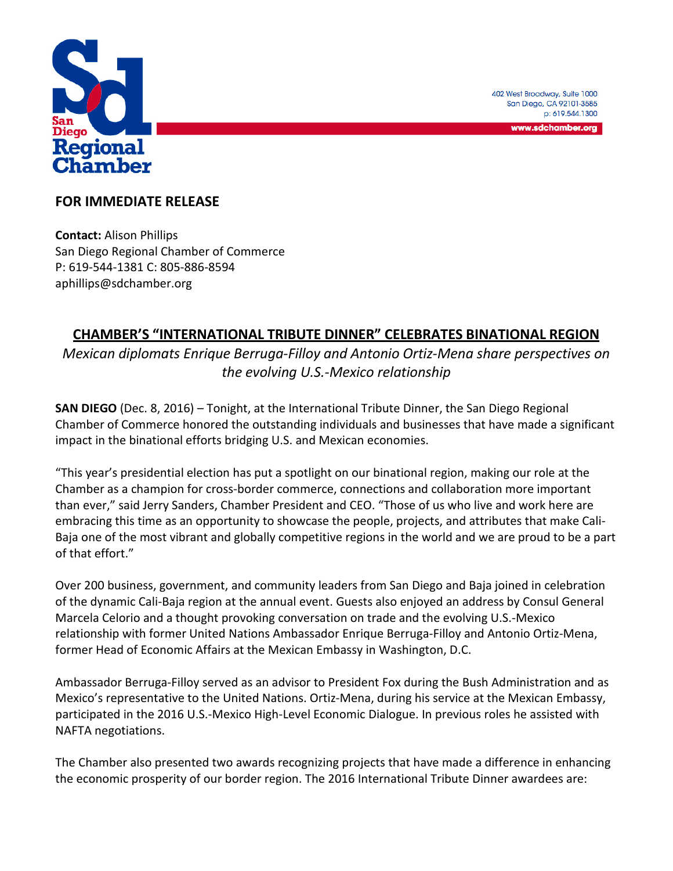

402 West Broadway, Suite 1000 San Diego, CA 92101-3585 p: 619.544.1300

www.sdchamber.org

## **FOR IMMEDIATE RELEASE**

**Contact:** Alison Phillips San Diego Regional Chamber of Commerce P: 619-544-1381 C: 805-886-8594 aphillips@sdchamber.org

## **CHAMBER'S "INTERNATIONAL TRIBUTE DINNER" CELEBRATES BINATIONAL REGION**

*Mexican diplomats Enrique Berruga-Filloy and Antonio Ortiz-Mena share perspectives on the evolving U.S.-Mexico relationship*

**SAN DIEGO** (Dec. 8, 2016) – Tonight, at the International Tribute Dinner, the San Diego Regional Chamber of Commerce honored the outstanding individuals and businesses that have made a significant impact in the binational efforts bridging U.S. and Mexican economies.

"This year's presidential election has put a spotlight on our binational region, making our role at the Chamber as a champion for cross-border commerce, connections and collaboration more important than ever," said Jerry Sanders, Chamber President and CEO. "Those of us who live and work here are embracing this time as an opportunity to showcase the people, projects, and attributes that make Cali-Baja one of the most vibrant and globally competitive regions in the world and we are proud to be a part of that effort."

Over 200 business, government, and community leaders from San Diego and Baja joined in celebration of the dynamic Cali-Baja region at the annual event. Guests also enjoyed an address by Consul General Marcela Celorio and a thought provoking conversation on trade and the evolving U.S.-Mexico relationship with former United Nations Ambassador Enrique Berruga-Filloy and Antonio Ortiz-Mena, former Head of Economic Affairs at the Mexican Embassy in Washington, D.C.

Ambassador Berruga-Filloy served as an advisor to President Fox during the Bush Administration and as Mexico's representative to the United Nations. Ortiz-Mena, during his service at the Mexican Embassy, participated in the 2016 U.S.-Mexico High-Level Economic Dialogue. In previous roles he assisted with NAFTA negotiations.

The Chamber also presented two awards recognizing projects that have made a difference in enhancing the economic prosperity of our border region. The 2016 International Tribute Dinner awardees are: